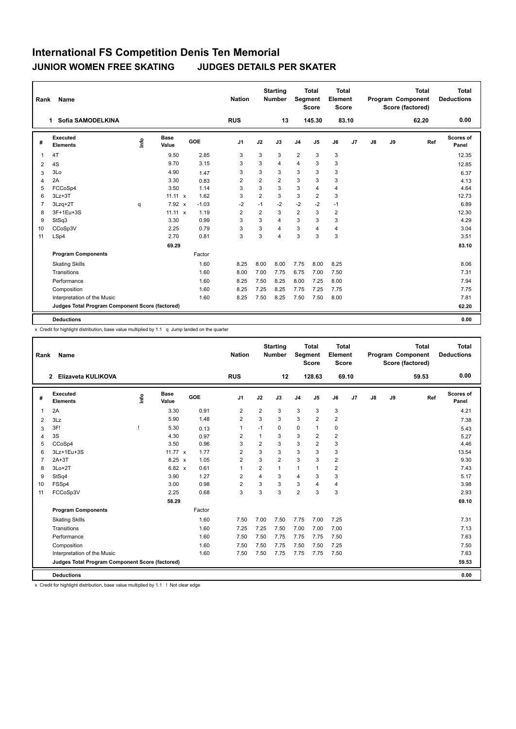| Rank           | <b>Name</b>                                     |      |                      |         | <b>Nation</b>  |                | <b>Starting</b><br><b>Number</b> | Segment        | <b>Total</b><br><b>Score</b> | <b>Total</b><br>Element<br><b>Score</b> |                |               |    | <b>Total</b><br>Program Component<br>Score (factored) | Total<br><b>Deductions</b> |
|----------------|-------------------------------------------------|------|----------------------|---------|----------------|----------------|----------------------------------|----------------|------------------------------|-----------------------------------------|----------------|---------------|----|-------------------------------------------------------|----------------------------|
|                | Sofia SAMODELKINA<br>1.                         |      |                      |         | <b>RUS</b>     |                | 13                               |                | 145.30                       | 83.10                                   |                |               |    | 62.20                                                 | 0.00                       |
| #              | Executed<br><b>Elements</b>                     | lnfo | <b>Base</b><br>Value | GOE     | J <sub>1</sub> | J2             | J3                               | J <sub>4</sub> | J <sub>5</sub>               | J6                                      | J <sub>7</sub> | $\mathsf{J}8$ | J9 | Ref                                                   | Scores of<br>Panel         |
| $\overline{1}$ | 4T                                              |      | 9.50                 | 2.85    | 3              | 3              | 3                                | $\overline{2}$ | 3                            | 3                                       |                |               |    |                                                       | 12.35                      |
| $\overline{2}$ | 4S                                              |      | 9.70                 | 3.15    | 3              | 3              | 4                                | $\overline{4}$ | 3                            | 3                                       |                |               |    |                                                       | 12.85                      |
| 3              | 3Lo                                             |      | 4.90                 | 1.47    | 3              | 3              | 3                                | 3              | 3                            | 3                                       |                |               |    |                                                       | 6.37                       |
| $\overline{4}$ | 2A                                              |      | 3.30                 | 0.83    | $\overline{2}$ | $\overline{2}$ | $\overline{2}$                   | 3              | 3                            | 3                                       |                |               |    |                                                       | 4.13                       |
| 5              | FCCoSp4                                         |      | 3.50                 | 1.14    | 3              | 3              | 3                                | 3              | 4                            | 4                                       |                |               |    |                                                       | 4.64                       |
| 6              | $3Lz + 3T$                                      |      | $11.11 \times$       | 1.62    | 3              | $\overline{2}$ | 3                                | 3              | $\overline{2}$               | 3                                       |                |               |    |                                                       | 12.73                      |
| $\overline{7}$ | $3Lzq+2T$                                       | q    | 7.92 x               | $-1.03$ | $-2$           | $-1$           | $-2$                             | $-2$           | $-2$                         | $-1$                                    |                |               |    |                                                       | 6.89                       |
| 8              | 3F+1Eu+3S                                       |      | $11.11 \times$       | 1.19    | $\overline{2}$ | $\overline{2}$ | 3                                | $\overline{2}$ | 3                            | $\overline{2}$                          |                |               |    |                                                       | 12.30                      |
| 9              | StSq3                                           |      | 3.30                 | 0.99    | 3              | 3              | 4                                | 3              | 3                            | 3                                       |                |               |    |                                                       | 4.29                       |
| 10             | CCoSp3V                                         |      | 2.25                 | 0.79    | 3              | 3              | 4                                | 3              | $\overline{4}$               | 4                                       |                |               |    |                                                       | 3.04                       |
| 11             | LSp4                                            |      | 2.70                 | 0.81    | 3              | 3              | 4                                | 3              | 3                            | 3                                       |                |               |    |                                                       | 3.51                       |
|                |                                                 |      | 69.29                |         |                |                |                                  |                |                              |                                         |                |               |    |                                                       | 83.10                      |
|                | <b>Program Components</b>                       |      |                      | Factor  |                |                |                                  |                |                              |                                         |                |               |    |                                                       |                            |
|                | <b>Skating Skills</b>                           |      |                      | 1.60    | 8.25           | 8.00           | 8.00                             | 7.75           | 8.00                         | 8.25                                    |                |               |    |                                                       | 8.06                       |
|                | Transitions                                     |      |                      | 1.60    | 8.00           | 7.00           | 7.75                             | 6.75           | 7.00                         | 7.50                                    |                |               |    |                                                       | 7.31                       |
|                | Performance                                     |      |                      | 1.60    | 8.25           | 7.50           | 8.25                             | 8.00           | 7.25                         | 8.00                                    |                |               |    |                                                       | 7.94                       |
|                | Composition                                     |      |                      | 1.60    | 8.25           | 7.25           | 8.25                             | 7.75           | 7.25                         | 7.75                                    |                |               |    |                                                       | 7.75                       |
|                | Interpretation of the Music                     |      |                      | 1.60    | 8.25           | 7.50           | 8.25                             | 7.50           | 7.50                         | 8.00                                    |                |               |    |                                                       | 7.81                       |
|                | Judges Total Program Component Score (factored) |      |                      |         |                |                |                                  |                |                              |                                         |                |               |    |                                                       | 62.20                      |
|                | <b>Deductions</b>                               |      |                      |         |                |                |                                  |                |                              |                                         |                |               |    |                                                       | 0.00                       |

x Credit for highlight distribution, base value multiplied by 1.1 q Jump landed on the quarter

| Rank           | Name                                            |                                  |                      |        | <b>Nation</b>  |                | <b>Starting</b><br><b>Number</b> | Segment        | <b>Total</b><br><b>Score</b> | Total<br>Element<br><b>Score</b> |       |    |    | <b>Total</b><br>Program Component<br>Score (factored) | Total<br><b>Deductions</b> |
|----------------|-------------------------------------------------|----------------------------------|----------------------|--------|----------------|----------------|----------------------------------|----------------|------------------------------|----------------------------------|-------|----|----|-------------------------------------------------------|----------------------------|
|                | Elizaveta KULIKOVA<br>$\mathbf{2}$              |                                  |                      |        | <b>RUS</b>     |                | 12                               |                | 128.63                       |                                  | 69.10 |    |    | 59.53                                                 | 0.00                       |
| #              | Executed<br><b>Elements</b>                     | $\mathop{\mathsf{Int}}\nolimits$ | <b>Base</b><br>Value | GOE    | J <sub>1</sub> | J2             | J3                               | J <sub>4</sub> | J5                           | J6                               | J7    | J8 | J9 | Ref                                                   | Scores of<br>Panel         |
| $\overline{1}$ | 2A                                              |                                  | 3.30                 | 0.91   | 2              | $\overline{2}$ | 3                                | 3              | 3                            | 3                                |       |    |    |                                                       | 4.21                       |
| 2              | 3Lz                                             |                                  | 5.90                 | 1.48   | $\overline{2}$ | 3              | 3                                | 3              | 2                            | $\overline{2}$                   |       |    |    |                                                       | 7.38                       |
| 3              | 3F!                                             |                                  | 5.30                 | 0.13   | $\mathbf{1}$   | $-1$           | 0                                | $\mathbf 0$    | 1                            | 0                                |       |    |    |                                                       | 5.43                       |
| $\overline{4}$ | 3S                                              |                                  | 4.30                 | 0.97   | $\overline{2}$ | $\mathbf{1}$   | 3                                | 3              | 2                            | $\overline{2}$                   |       |    |    |                                                       | 5.27                       |
| 5              | CCoSp4                                          |                                  | 3.50                 | 0.96   | 3              | $\overline{2}$ | 3                                | 3              | $\overline{2}$               | 3                                |       |    |    |                                                       | 4.46                       |
| 6              | 3Lz+1Eu+3S                                      |                                  | 11.77 $x$            | 1.77   | $\overline{2}$ | 3              | 3                                | 3              | 3                            | 3                                |       |    |    |                                                       | 13.54                      |
| $\overline{7}$ | $2A+3T$                                         |                                  | $8.25 \times$        | 1.05   | $\overline{2}$ | 3              | $\overline{2}$                   | 3              | 3                            | $\overline{2}$                   |       |    |    |                                                       | 9.30                       |
| 8              | $3Lo+2T$                                        |                                  | 6.82 x               | 0.61   | $\overline{1}$ | $\overline{2}$ | $\mathbf{1}$                     | $\mathbf{1}$   | 1                            | $\overline{2}$                   |       |    |    |                                                       | 7.43                       |
| 9              | StSq4                                           |                                  | 3.90                 | 1.27   | $\overline{2}$ | 4              | 3                                | $\overline{4}$ | 3                            | 3                                |       |    |    |                                                       | 5.17                       |
| 10             | FSSp4                                           |                                  | 3.00                 | 0.98   | $\overline{2}$ | 3              | 3                                | 3              | 4                            | $\overline{4}$                   |       |    |    |                                                       | 3.98                       |
| 11             | FCCoSp3V                                        |                                  | 2.25                 | 0.68   | 3              | 3              | 3                                | $\overline{2}$ | 3                            | 3                                |       |    |    |                                                       | 2.93                       |
|                |                                                 |                                  | 58.29                |        |                |                |                                  |                |                              |                                  |       |    |    |                                                       | 69.10                      |
|                | <b>Program Components</b>                       |                                  |                      | Factor |                |                |                                  |                |                              |                                  |       |    |    |                                                       |                            |
|                | <b>Skating Skills</b>                           |                                  |                      | 1.60   | 7.50           | 7.00           | 7.50                             | 7.75           | 7.00                         | 7.25                             |       |    |    |                                                       | 7.31                       |
|                | Transitions                                     |                                  |                      | 1.60   | 7.25           | 7.25           | 7.50                             | 7.00           | 7.00                         | 7.00                             |       |    |    |                                                       | 7.13                       |
|                | Performance                                     |                                  |                      | 1.60   | 7.50           | 7.50           | 7.75                             | 7.75           | 7.75                         | 7.50                             |       |    |    |                                                       | 7.63                       |
|                | Composition                                     |                                  |                      | 1.60   | 7.50           | 7.50           | 7.75                             | 7.50           | 7.50                         | 7.25                             |       |    |    |                                                       | 7.50                       |
|                | Interpretation of the Music                     |                                  |                      | 1.60   | 7.50           | 7.50           | 7.75                             | 7.75           | 7.75                         | 7.50                             |       |    |    |                                                       | 7.63                       |
|                | Judges Total Program Component Score (factored) |                                  |                      |        |                |                |                                  |                |                              |                                  |       |    |    |                                                       | 59.53                      |
|                | <b>Deductions</b>                               |                                  |                      |        |                |                |                                  |                |                              |                                  |       |    |    |                                                       | 0.00                       |

x Credit for highlight distribution, base value multiplied by 1.1 ! Not clear edge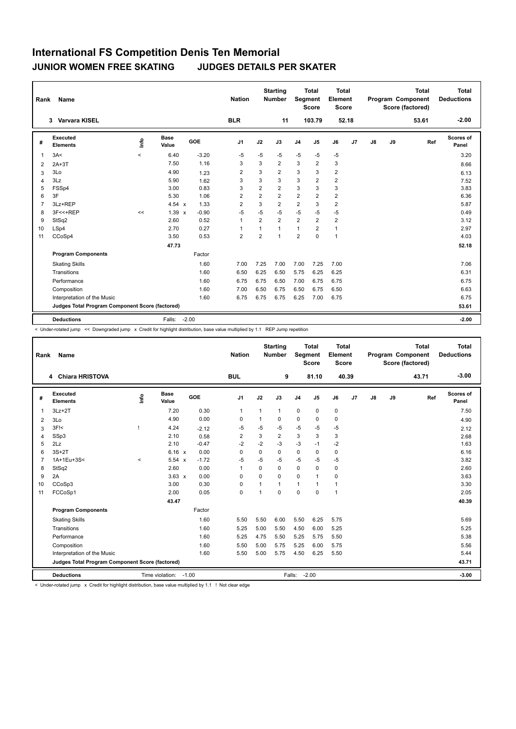| Rank           | Name                                            |       |                      |         | <b>Nation</b>  |                | <b>Starting</b><br>Number | Segment        | <b>Total</b><br><b>Score</b> | <b>Total</b><br>Element<br><b>Score</b> |       |               |    | <b>Total</b><br>Program Component<br>Score (factored) | Total<br><b>Deductions</b> |
|----------------|-------------------------------------------------|-------|----------------------|---------|----------------|----------------|---------------------------|----------------|------------------------------|-----------------------------------------|-------|---------------|----|-------------------------------------------------------|----------------------------|
|                | Varvara KISEL<br>3                              |       |                      |         | <b>BLR</b>     |                | 11                        |                | 103.79                       |                                         | 52.18 |               |    | 53.61                                                 | $-2.00$                    |
| #              | Executed<br><b>Elements</b>                     | ١nfo  | <b>Base</b><br>Value | GOE     | J <sub>1</sub> | J2             | J3                        | J <sub>4</sub> | J5                           | J6                                      | J7    | $\mathsf{J}8$ | J9 | Ref                                                   | <b>Scores of</b><br>Panel  |
| $\overline{1}$ | 3A<                                             | $\,<$ | 6.40                 | $-3.20$ | $-5$           | $-5$           | $-5$                      | $-5$           | $-5$                         | $-5$                                    |       |               |    |                                                       | 3.20                       |
| 2              | $2A+3T$                                         |       | 7.50                 | 1.16    | 3              | 3              | $\overline{2}$            | 3              | $\overline{2}$               | 3                                       |       |               |    |                                                       | 8.66                       |
| 3              | 3Lo                                             |       | 4.90                 | 1.23    | $\overline{2}$ | 3              | $\overline{2}$            | 3              | 3                            | $\overline{2}$                          |       |               |    |                                                       | 6.13                       |
| 4              | 3Lz                                             |       | 5.90                 | 1.62    | 3              | 3              | 3                         | 3              | $\overline{2}$               | $\overline{2}$                          |       |               |    |                                                       | 7.52                       |
| 5              | FSSp4                                           |       | 3.00                 | 0.83    | 3              | $\overline{2}$ | $\overline{2}$            | 3              | 3                            | 3                                       |       |               |    |                                                       | 3.83                       |
| 6              | 3F                                              |       | 5.30                 | 1.06    | $\overline{2}$ | $\overline{2}$ | $\overline{2}$            | $\overline{2}$ | $\overline{2}$               | $\overline{2}$                          |       |               |    |                                                       | 6.36                       |
| $\overline{7}$ | 3Lz+REP                                         |       | 4.54 $\times$        | 1.33    | $\overline{2}$ | 3              | $\overline{2}$            | $\overline{2}$ | 3                            | $\overline{2}$                          |       |               |    |                                                       | 5.87                       |
| 8              | 3F<<+REP                                        | <<    | $1.39 \times$        | $-0.90$ | $-5$           | $-5$           | $-5$                      | $-5$           | $-5$                         | $-5$                                    |       |               |    |                                                       | 0.49                       |
| 9              | StSq2                                           |       | 2.60                 | 0.52    | $\overline{1}$ | $\overline{2}$ | $\overline{2}$            | $\overline{2}$ | $\overline{2}$               | $\overline{2}$                          |       |               |    |                                                       | 3.12                       |
| 10             | LSp4                                            |       | 2.70                 | 0.27    | $\overline{1}$ | 1              | 1                         | $\mathbf{1}$   | 2                            | $\mathbf{1}$                            |       |               |    |                                                       | 2.97                       |
| 11             | CCoSp4                                          |       | 3.50                 | 0.53    | $\overline{2}$ | $\overline{2}$ | $\overline{1}$            | $\overline{2}$ | $\Omega$                     | $\mathbf{1}$                            |       |               |    |                                                       | 4.03                       |
|                |                                                 |       | 47.73                |         |                |                |                           |                |                              |                                         |       |               |    |                                                       | 52.18                      |
|                | <b>Program Components</b>                       |       |                      | Factor  |                |                |                           |                |                              |                                         |       |               |    |                                                       |                            |
|                | <b>Skating Skills</b>                           |       |                      | 1.60    | 7.00           | 7.25           | 7.00                      | 7.00           | 7.25                         | 7.00                                    |       |               |    |                                                       | 7.06                       |
|                | Transitions                                     |       |                      | 1.60    | 6.50           | 6.25           | 6.50                      | 5.75           | 6.25                         | 6.25                                    |       |               |    |                                                       | 6.31                       |
|                | Performance                                     |       |                      | 1.60    | 6.75           | 6.75           | 6.50                      | 7.00           | 6.75                         | 6.75                                    |       |               |    |                                                       | 6.75                       |
|                | Composition                                     |       |                      | 1.60    | 7.00           | 6.50           | 6.75                      | 6.50           | 6.75                         | 6.50                                    |       |               |    |                                                       | 6.63                       |
|                | Interpretation of the Music                     |       |                      | 1.60    | 6.75           | 6.75           | 6.75                      | 6.25           | 7.00                         | 6.75                                    |       |               |    |                                                       | 6.75                       |
|                | Judges Total Program Component Score (factored) |       |                      |         |                |                |                           |                |                              |                                         |       |               |    |                                                       | 53.61                      |
|                | <b>Deductions</b>                               |       | Falls:               | $-2.00$ |                |                |                           |                |                              |                                         |       |               |    |                                                       | $-2.00$                    |

< Under-rotated jump << Downgraded jump x Credit for highlight distribution, base value multiplied by 1.1 REP Jump repetition

| Rank           | Name                                            |              |                      |            | <b>Nation</b>  |              | <b>Starting</b><br><b>Number</b> | Segment        | <b>Total</b><br>Score | <b>Total</b><br>Element<br><b>Score</b> |       |               |    | <b>Total</b><br>Program Component<br>Score (factored) | Total<br><b>Deductions</b> |
|----------------|-------------------------------------------------|--------------|----------------------|------------|----------------|--------------|----------------------------------|----------------|-----------------------|-----------------------------------------|-------|---------------|----|-------------------------------------------------------|----------------------------|
|                | 4 Chiara HRISTOVA                               |              |                      |            | <b>BUL</b>     |              | 9                                |                | 81.10                 |                                         | 40.39 |               |    | 43.71                                                 | $-3.00$                    |
| #              | <b>Executed</b><br><b>Elements</b>              | ١nfo         | <b>Base</b><br>Value | <b>GOE</b> | J <sub>1</sub> | J2           | J3                               | J <sub>4</sub> | J <sub>5</sub>        | J6                                      | J7    | $\mathsf{J}8$ | J9 | Ref                                                   | Scores of<br>Panel         |
| 1              | $3Lz + 2T$                                      |              | 7.20                 | 0.30       | $\mathbf{1}$   | $\mathbf{1}$ | $\mathbf{1}$                     | $\mathbf 0$    | 0                     | 0                                       |       |               |    |                                                       | 7.50                       |
| 2              | 3Lo                                             |              | 4.90                 | 0.00       | 0              | $\mathbf{1}$ | 0                                | $\mathbf 0$    | 0                     | $\mathbf 0$                             |       |               |    |                                                       | 4.90                       |
| 3              | $3F$ $\leq$                                     | $\mathsf{I}$ | 4.24                 | $-2.12$    | $-5$           | $-5$         | $-5$                             | $-5$           | $-5$                  | $-5$                                    |       |               |    |                                                       | 2.12                       |
| 4              | SSp3                                            |              | 2.10                 | 0.58       | $\overline{2}$ | 3            | $\overline{2}$                   | 3              | 3                     | 3                                       |       |               |    |                                                       | 2.68                       |
| 5              | 2Lz                                             |              | 2.10                 | $-0.47$    | $-2$           | $-2$         | $-3$                             | $-3$           | $-1$                  | $-2$                                    |       |               |    |                                                       | 1.63                       |
| 6              | $3S+2T$                                         |              | 6.16 x               | 0.00       | $\Omega$       | $\Omega$     | 0                                | 0              | 0                     | 0                                       |       |               |    |                                                       | 6.16                       |
| $\overline{7}$ | 1A+1Eu+3S<                                      | $\prec$      | 5.54 x               | $-1.72$    | $-5$           | $-5$         | -5                               | $-5$           | $-5$                  | $-5$                                    |       |               |    |                                                       | 3.82                       |
| 8              | StSq2                                           |              | 2.60                 | 0.00       | $\mathbf{1}$   | $\Omega$     | $\Omega$                         | 0              | $\Omega$              | $\mathbf 0$                             |       |               |    |                                                       | 2.60                       |
| 9              | 2A                                              |              | $3.63 \times$        | 0.00       | 0              | $\Omega$     | $\Omega$                         | 0              | $\overline{1}$        | 0                                       |       |               |    |                                                       | 3.63                       |
| 10             | CCoSp3                                          |              | 3.00                 | 0.30       | $\Omega$       | 1            | $\mathbf{1}$                     | 1              | $\mathbf 1$           | $\mathbf{1}$                            |       |               |    |                                                       | 3.30                       |
| 11             | FCCoSp1                                         |              | 2.00                 | 0.05       | $\mathbf 0$    | 1            | $\mathbf 0$                      | 0              | $\mathbf 0$           | $\mathbf{1}$                            |       |               |    |                                                       | 2.05                       |
|                |                                                 |              | 43.47                |            |                |              |                                  |                |                       |                                         |       |               |    |                                                       | 40.39                      |
|                | <b>Program Components</b>                       |              |                      | Factor     |                |              |                                  |                |                       |                                         |       |               |    |                                                       |                            |
|                | <b>Skating Skills</b>                           |              |                      | 1.60       | 5.50           | 5.50         | 6.00                             | 5.50           | 6.25                  | 5.75                                    |       |               |    |                                                       | 5.69                       |
|                | Transitions                                     |              |                      | 1.60       | 5.25           | 5.00         | 5.50                             | 4.50           | 6.00                  | 5.25                                    |       |               |    |                                                       | 5.25                       |
|                | Performance                                     |              |                      | 1.60       | 5.25           | 4.75         | 5.50                             | 5.25           | 5.75                  | 5.50                                    |       |               |    |                                                       | 5.38                       |
|                | Composition                                     |              |                      | 1.60       | 5.50           | 5.00         | 5.75                             | 5.25           | 6.00                  | 5.75                                    |       |               |    |                                                       | 5.56                       |
|                | Interpretation of the Music                     |              |                      | 1.60       | 5.50           | 5.00         | 5.75                             | 4.50           | 6.25                  | 5.50                                    |       |               |    |                                                       | 5.44                       |
|                | Judges Total Program Component Score (factored) |              |                      |            |                |              |                                  |                |                       |                                         |       |               |    |                                                       | 43.71                      |
|                | <b>Deductions</b>                               |              | Time violation:      | $-1.00$    |                |              |                                  | Falls:         | $-2.00$               |                                         |       |               |    |                                                       | $-3.00$                    |

< Under-rotated jump x Credit for highlight distribution, base value multiplied by 1.1 ! Not clear edge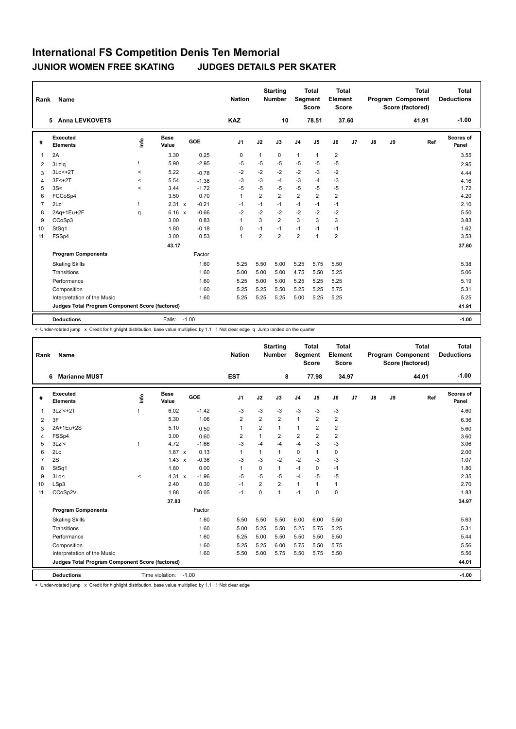| Rank           | <b>Name</b>                                     |                                  |                      |         | <b>Nation</b>  |                | <b>Starting</b><br>Number | <b>Segment</b> | <b>Total</b><br><b>Score</b> | <b>Total</b><br>Element<br><b>Score</b> |       |               |    | <b>Total</b><br>Program Component<br>Score (factored) | Total<br><b>Deductions</b> |
|----------------|-------------------------------------------------|----------------------------------|----------------------|---------|----------------|----------------|---------------------------|----------------|------------------------------|-----------------------------------------|-------|---------------|----|-------------------------------------------------------|----------------------------|
|                | <b>Anna LEVKOVETS</b><br>5                      |                                  |                      |         | <b>KAZ</b>     |                | 10                        |                | 78.51                        |                                         | 37.60 |               |    | 41.91                                                 | $-1.00$                    |
| #              | Executed<br><b>Elements</b>                     | $\mathop{\mathsf{Int}}\nolimits$ | <b>Base</b><br>Value | GOE     | J1             | J2             | J3                        | J <sub>4</sub> | J5                           | J6                                      | J7    | $\mathsf{J}8$ | J9 | Ref                                                   | <b>Scores of</b><br>Panel  |
| $\overline{1}$ | 2A                                              |                                  | 3.30                 | 0.25    | 0              | $\mathbf{1}$   | 0                         | $\mathbf{1}$   | $\mathbf{1}$                 | $\overline{2}$                          |       |               |    |                                                       | 3.55                       |
| 2              | 3Lz!q                                           |                                  | 5.90                 | $-2.95$ | $-5$           | $-5$           | $-5$                      | $-5$           | $-5$                         | $-5$                                    |       |               |    |                                                       | 2.95                       |
| 3              | $3Lo < +2T$                                     | $\,<$                            | 5.22                 | $-0.78$ | $-2$           | $-2$           | $-2$                      | $-2$           | $-3$                         | $-2$                                    |       |               |    |                                                       | 4.44                       |
| 4              | $3F < +2T$                                      | $\prec$                          | 5.54                 | $-1.38$ | $-3$           | -3             | $-4$                      | $-3$           | $-4$                         | $-3$                                    |       |               |    |                                                       | 4.16                       |
| 5              | 3S<                                             | $\prec$                          | 3.44                 | $-1.72$ | $-5$           | $-5$           | $-5$                      | $-5$           | $-5$                         | $-5$                                    |       |               |    |                                                       | 1.72                       |
| 6              | FCCoSp4                                         |                                  | 3.50                 | 0.70    | $\mathbf{1}$   | $\overline{2}$ | $\overline{2}$            | $\overline{2}$ | $\overline{2}$               | $\overline{2}$                          |       |               |    |                                                       | 4.20                       |
| $\overline{7}$ | 2Lz!                                            | T                                | 2.31 x               | $-0.21$ | $-1$           | $-1$           | $-1$                      | $-1$           | $-1$                         | $-1$                                    |       |               |    |                                                       | 2.10                       |
| 8              | 2Aq+1Eu+2F                                      | q                                | 6.16 x               | $-0.66$ | $-2$           | $-2$           | $-2$                      | $-2$           | $-2$                         | $-2$                                    |       |               |    |                                                       | 5.50                       |
| 9              | CCoSp3                                          |                                  | 3.00                 | 0.83    | $\overline{1}$ | 3              | $\overline{2}$            | 3              | 3                            | 3                                       |       |               |    |                                                       | 3.83                       |
| 10             | StSq1                                           |                                  | 1.80                 | $-0.18$ | 0              | $-1$           | $-1$                      | $-1$           | $-1$                         | $-1$                                    |       |               |    |                                                       | 1.62                       |
| 11             | FSSp4                                           |                                  | 3.00                 | 0.53    | $\mathbf{1}$   | 2              | $\overline{2}$            | $\overline{2}$ | $\mathbf{1}$                 | $\overline{2}$                          |       |               |    |                                                       | 3.53                       |
|                |                                                 |                                  | 43.17                |         |                |                |                           |                |                              |                                         |       |               |    |                                                       | 37.60                      |
|                | <b>Program Components</b>                       |                                  |                      | Factor  |                |                |                           |                |                              |                                         |       |               |    |                                                       |                            |
|                | <b>Skating Skills</b>                           |                                  |                      | 1.60    | 5.25           | 5.50           | 5.00                      | 5.25           | 5.75                         | 5.50                                    |       |               |    |                                                       | 5.38                       |
|                | Transitions                                     |                                  |                      | 1.60    | 5.00           | 5.00           | 5.00                      | 4.75           | 5.50                         | 5.25                                    |       |               |    |                                                       | 5.06                       |
|                | Performance                                     |                                  |                      | 1.60    | 5.25           | 5.00           | 5.00                      | 5.25           | 5.25                         | 5.25                                    |       |               |    |                                                       | 5.19                       |
|                | Composition                                     |                                  |                      | 1.60    | 5.25           | 5.25           | 5.50                      | 5.25           | 5.25                         | 5.75                                    |       |               |    |                                                       | 5.31                       |
|                | Interpretation of the Music                     |                                  |                      | 1.60    | 5.25           | 5.25           | 5.25                      | 5.00           | 5.25                         | 5.25                                    |       |               |    |                                                       | 5.25                       |
|                | Judges Total Program Component Score (factored) |                                  |                      |         |                |                |                           |                |                              |                                         |       |               |    |                                                       | 41.91                      |
|                | <b>Deductions</b>                               |                                  | Falls:               | $-1.00$ |                |                |                           |                |                              |                                         |       |               |    |                                                       | $-1.00$                    |

< Under-rotated jump x Credit for highlight distribution, base value multiplied by 1.1 ! Not clear edge q Jump landed on the quarter

| Rank           | Name                                            |         |                       |         | <b>Nation</b>  |                | <b>Starting</b><br><b>Number</b> | Segment        | <b>Total</b><br><b>Score</b> | <b>Total</b><br>Element<br><b>Score</b> |       |    |    | <b>Total</b><br>Program Component<br>Score (factored) | Total<br><b>Deductions</b> |
|----------------|-------------------------------------------------|---------|-----------------------|---------|----------------|----------------|----------------------------------|----------------|------------------------------|-----------------------------------------|-------|----|----|-------------------------------------------------------|----------------------------|
|                | <b>Marianne MUST</b><br>6                       |         |                       |         | <b>EST</b>     |                | 8                                |                | 77.98                        |                                         | 34.97 |    |    | 44.01                                                 | $-1.00$                    |
| #              | <b>Executed</b><br><b>Elements</b>              | ۴       | <b>Base</b><br>Value  | GOE     | J <sub>1</sub> | J2             | J3                               | J <sub>4</sub> | J5                           | J6                                      | J7    | J8 | J9 | Ref                                                   | Scores of<br>Panel         |
| 1              | 3Lz! <+ 2T                                      | ı       | 6.02                  | $-1.42$ | $-3$           | $-3$           | $-3$                             | $-3$           | $-3$                         | $-3$                                    |       |    |    |                                                       | 4.60                       |
| 2              | 3F                                              |         | 5.30                  | 1.06    | $\overline{2}$ | $\overline{2}$ | $\overline{2}$                   | $\mathbf{1}$   | $\overline{2}$               | $\overline{2}$                          |       |    |    |                                                       | 6.36                       |
| 3              | 2A+1Eu+2S                                       |         | 5.10                  | 0.50    | $\overline{1}$ | $\overline{2}$ | $\mathbf{1}$                     | 1              | $\overline{2}$               | $\overline{2}$                          |       |    |    |                                                       | 5.60                       |
| 4              | FSSp4                                           |         | 3.00                  | 0.60    | $\overline{2}$ | $\mathbf{1}$   | $\overline{2}$                   | $\overline{2}$ | $\overline{2}$               | $\overline{2}$                          |       |    |    |                                                       | 3.60                       |
| 5              | $3Lz$ !<                                        |         | 4.72                  | $-1.66$ | $-3$           | $-4$           | $-4$                             | $-4$           | $-3$                         | $-3$                                    |       |    |    |                                                       | 3.06                       |
| 6              | 2Lo                                             |         | $1.87 \times$         | 0.13    | $\overline{1}$ | $\mathbf{1}$   | $\mathbf{1}$                     | $\mathbf 0$    | $\mathbf{1}$                 | 0                                       |       |    |    |                                                       | 2.00                       |
| $\overline{7}$ | 2S                                              |         | $1.43 \times$         | $-0.36$ | $-3$           | $-3$           | $-2$                             | $-2$           | $-3$                         | $-3$                                    |       |    |    |                                                       | 1.07                       |
| 8              | StSq1                                           |         | 1.80                  | 0.00    | $\overline{1}$ | $\Omega$       | $\mathbf{1}$                     | $-1$           | $\Omega$                     | $-1$                                    |       |    |    |                                                       | 1.80                       |
| 9              | 3Lo<                                            | $\prec$ | 4.31 x                | $-1.96$ | $-5$           | $-5$           | $-5$                             | $-4$           | $-5$                         | $-5$                                    |       |    |    |                                                       | 2.35                       |
| 10             | LSp3                                            |         | 2.40                  | 0.30    | $-1$           | $\overline{2}$ | $\overline{2}$                   | 1              | $\mathbf{1}$                 | $\mathbf{1}$                            |       |    |    |                                                       | 2.70                       |
| 11             | CCoSp2V                                         |         | 1.88                  | $-0.05$ | $-1$           | $\mathbf 0$    | $\mathbf{1}$                     | $-1$           | $\mathbf 0$                  | $\mathbf 0$                             |       |    |    |                                                       | 1.83                       |
|                |                                                 |         | 37.83                 |         |                |                |                                  |                |                              |                                         |       |    |    |                                                       | 34.97                      |
|                | <b>Program Components</b>                       |         |                       | Factor  |                |                |                                  |                |                              |                                         |       |    |    |                                                       |                            |
|                | <b>Skating Skills</b>                           |         |                       | 1.60    | 5.50           | 5.50           | 5.50                             | 6.00           | 6.00                         | 5.50                                    |       |    |    |                                                       | 5.63                       |
|                | Transitions                                     |         |                       | 1.60    | 5.00           | 5.25           | 5.50                             | 5.25           | 5.75                         | 5.25                                    |       |    |    |                                                       | 5.31                       |
|                | Performance                                     |         |                       | 1.60    | 5.25           | 5.00           | 5.50                             | 5.50           | 5.50                         | 5.50                                    |       |    |    |                                                       | 5.44                       |
|                | Composition                                     |         |                       | 1.60    | 5.25           | 5.25           | 6.00                             | 5.75           | 5.50                         | 5.75                                    |       |    |    |                                                       | 5.56                       |
|                | Interpretation of the Music                     |         |                       | 1.60    | 5.50           | 5.00           | 5.75                             | 5.50           | 5.75                         | 5.50                                    |       |    |    |                                                       | 5.56                       |
|                | Judges Total Program Component Score (factored) |         |                       |         |                |                |                                  |                |                              |                                         |       |    |    |                                                       | 44.01                      |
|                | <b>Deductions</b>                               |         | Time violation: -1.00 |         |                |                |                                  |                |                              |                                         |       |    |    |                                                       | $-1.00$                    |

< Under-rotated jump x Credit for highlight distribution, base value multiplied by 1.1 ! Not clear edge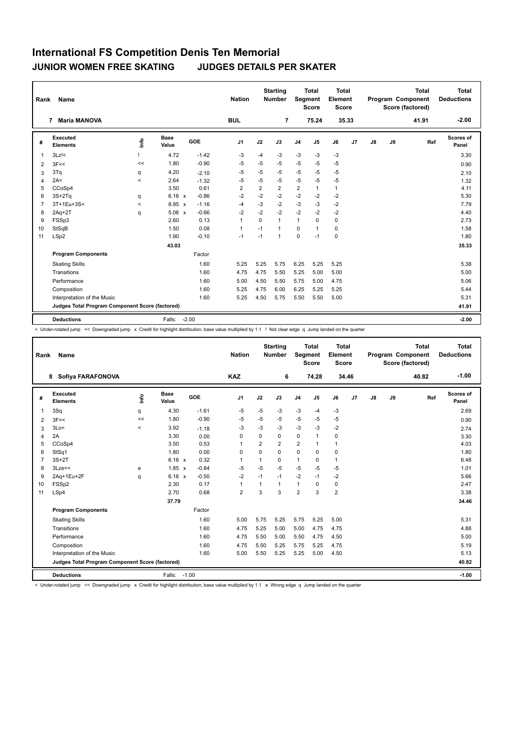| Rank           | <b>Name</b>                                     |         |                      |         | <b>Nation</b>  |                | <b>Starting</b><br>Number | Segment        | <b>Total</b><br><b>Score</b> | <b>Total</b><br>Element<br><b>Score</b> |       |               |    | <b>Total</b><br>Program Component<br>Score (factored) | Total<br><b>Deductions</b> |
|----------------|-------------------------------------------------|---------|----------------------|---------|----------------|----------------|---------------------------|----------------|------------------------------|-----------------------------------------|-------|---------------|----|-------------------------------------------------------|----------------------------|
|                | <b>Maria MANOVA</b><br>7                        |         |                      |         | <b>BUL</b>     |                | $\overline{7}$            |                | 75.24                        |                                         | 35.33 |               |    | 41.91                                                 | $-2.00$                    |
| #              | Executed<br><b>Elements</b>                     | ۴ů      | <b>Base</b><br>Value | GOE     | J <sub>1</sub> | J2             | J3                        | J <sub>4</sub> | J5                           | J6                                      | J7    | $\mathsf{J}8$ | J9 | Ref                                                   | Scores of<br>Panel         |
| $\overline{1}$ | $3Lz$ !<                                        |         | 4.72                 | $-1.42$ | $-3$           | $-4$           | $-3$                      | $-3$           | $-3$                         | $-3$                                    |       |               |    |                                                       | 3.30                       |
| 2              | 3F<<                                            | <<      | 1.80                 | $-0.90$ | $-5$           | $-5$           | $-5$                      | $-5$           | $-5$                         | $-5$                                    |       |               |    |                                                       | 0.90                       |
| 3              | 3Tq                                             | q       | 4.20                 | $-2.10$ | $-5$           | $-5$           | $-5$                      | $-5$           | $-5$                         | $-5$                                    |       |               |    |                                                       | 2.10                       |
| 4              | 2A<                                             | $\prec$ | 2.64                 | $-1.32$ | $-5$           | $-5$           | $-5$                      | $-5$           | $-5$                         | $-5$                                    |       |               |    |                                                       | 1.32                       |
| 5              | CCoSp4                                          |         | 3.50                 | 0.61    | $\overline{2}$ | $\overline{2}$ | $\overline{2}$            | $\overline{2}$ | $\mathbf{1}$                 | $\mathbf{1}$                            |       |               |    |                                                       | 4.11                       |
| 6              | $3S+2Tq$                                        | q       | $6.16 \times$        | $-0.86$ | $-2$           | $-2$           | $-2$                      | $-2$           | $-2$                         | $-2$                                    |       |               |    |                                                       | 5.30                       |
| $\overline{7}$ | 3T+1Eu+3S<                                      | $\prec$ | $8.95 \times$        | $-1.16$ | $-4$           | $-3$           | $-2$                      | $-3$           | $-3$                         | $-2$                                    |       |               |    |                                                       | 7.79                       |
| 8              | $2Aq+2T$                                        | q       | $5.06 \times$        | $-0.66$ | $-2$           | $-2$           | $-2$                      | $-2$           | $-2$                         | $-2$                                    |       |               |    |                                                       | 4.40                       |
| 9              | FSSp3                                           |         | 2.60                 | 0.13    | $\mathbf{1}$   | $\Omega$       | 1                         | $\mathbf{1}$   | $\Omega$                     | 0                                       |       |               |    |                                                       | 2.73                       |
| 10             | StSqB                                           |         | 1.50                 | 0.08    | $\overline{1}$ | $-1$           | $\overline{1}$            | 0              | $\mathbf{1}$                 | 0                                       |       |               |    |                                                       | 1.58                       |
| 11             | LSp2                                            |         | 1.90                 | $-0.10$ | $-1$           | $-1$           | 1                         | $\mathbf 0$    | $-1$                         | 0                                       |       |               |    |                                                       | 1.80                       |
|                |                                                 |         | 43.03                |         |                |                |                           |                |                              |                                         |       |               |    |                                                       | 35.33                      |
|                | <b>Program Components</b>                       |         |                      | Factor  |                |                |                           |                |                              |                                         |       |               |    |                                                       |                            |
|                | <b>Skating Skills</b>                           |         |                      | 1.60    | 5.25           | 5.25           | 5.75                      | 6.25           | 5.25                         | 5.25                                    |       |               |    |                                                       | 5.38                       |
|                | Transitions                                     |         |                      | 1.60    | 4.75           | 4.75           | 5.50                      | 5.25           | 5.00                         | 5.00                                    |       |               |    |                                                       | 5.00                       |
|                | Performance                                     |         |                      | 1.60    | 5.00           | 4.50           | 5.50                      | 5.75           | 5.00                         | 4.75                                    |       |               |    |                                                       | 5.06                       |
|                | Composition                                     |         |                      | 1.60    | 5.25           | 4.75           | 6.00                      | 6.25           | 5.25                         | 5.25                                    |       |               |    |                                                       | 5.44                       |
|                | Interpretation of the Music                     |         |                      | 1.60    | 5.25           | 4.50           | 5.75                      | 5.50           | 5.50                         | 5.00                                    |       |               |    |                                                       | 5.31                       |
|                | Judges Total Program Component Score (factored) |         |                      |         |                |                |                           |                |                              |                                         |       |               |    |                                                       | 41.91                      |
|                | <b>Deductions</b>                               |         | Falls:               | $-2.00$ |                |                |                           |                |                              |                                         |       |               |    |                                                       | $-2.00$                    |

< Under-rotated jump << Downgraded jump x Credit for highlight distribution, base value multiplied by 1.1 ! Not clear edge q Jump landed on the quarter

| Rank           | Name                                            |       |                      |         | <b>Nation</b>  |              | <b>Starting</b><br><b>Number</b> | Segment        | <b>Total</b><br><b>Score</b> | <b>Total</b><br>Element<br><b>Score</b> |       |    |    | <b>Total</b><br>Program Component<br>Score (factored) | <b>Total</b><br><b>Deductions</b> |
|----------------|-------------------------------------------------|-------|----------------------|---------|----------------|--------------|----------------------------------|----------------|------------------------------|-----------------------------------------|-------|----|----|-------------------------------------------------------|-----------------------------------|
|                | 8 Sofiya FARAFONOVA                             |       |                      |         | <b>KAZ</b>     |              | 6                                |                | 74.28                        |                                         | 34.46 |    |    | 40.82                                                 | $-1.00$                           |
| #              | Executed<br><b>Elements</b>                     | ۴     | <b>Base</b><br>Value | GOE     | J <sub>1</sub> | J2           | J3                               | J <sub>4</sub> | J5                           | J6                                      | J7    | J8 | J9 | Ref                                                   | Scores of<br>Panel                |
| 1              | 3Sq                                             | q     | 4.30                 | $-1.61$ | $-5$           | $-5$         | $-3$                             | $-3$           | $-4$                         | $-3$                                    |       |    |    |                                                       | 2.69                              |
| 2              | 3F<<                                            | <<    | 1.80                 | $-0.90$ | $-5$           | $-5$         | $-5$                             | $-5$           | $-5$                         | $-5$                                    |       |    |    |                                                       | 0.90                              |
| 3              | 3Lo<                                            | $\,<$ | 3.92                 | $-1.18$ | $-3$           | $-3$         | $-3$                             | $-3$           | -3                           | $-2$                                    |       |    |    |                                                       | 2.74                              |
| 4              | 2A                                              |       | 3.30                 | 0.00    | 0              | $\Omega$     | $\mathbf 0$                      | $\mathbf 0$    | $\mathbf{1}$                 | $\mathbf 0$                             |       |    |    |                                                       | 3.30                              |
| 5              | CCoSp4                                          |       | 3.50                 | 0.53    | $\overline{1}$ | 2            | $\overline{2}$                   | $\overline{2}$ | 1                            | $\mathbf{1}$                            |       |    |    |                                                       | 4.03                              |
| 6              | StSq1                                           |       | 1.80                 | 0.00    | 0              | $\Omega$     | $\Omega$                         | $\Omega$       | $\Omega$                     | $\mathbf 0$                             |       |    |    |                                                       | 1.80                              |
| $\overline{7}$ | $3S+2T$                                         |       | $6.16 \times$        | 0.32    | $\overline{1}$ | $\mathbf{1}$ | $\mathbf 0$                      | $\mathbf{1}$   | $\mathbf 0$                  | $\mathbf{1}$                            |       |    |    |                                                       | 6.48                              |
| 8              | 3Lze<<                                          | e     | $1.85 \times$        | $-0.84$ | $-5$           | $-5$         | $-5$                             | $-5$           | $-5$                         | $-5$                                    |       |    |    |                                                       | 1.01                              |
| 9              | 2Aq+1Eu+2F                                      | q     | $6.16 \times$        | $-0.50$ | $-2$           | $-1$         | $-1$                             | $-2$           | $-1$                         | $-2$                                    |       |    |    |                                                       | 5.66                              |
| 10             | FSSp2                                           |       | 2.30                 | 0.17    | $\mathbf{1}$   | 1            | $\mathbf{1}$                     | $\mathbf{1}$   | $\Omega$                     | $\mathbf 0$                             |       |    |    |                                                       | 2.47                              |
| 11             | LSp4                                            |       | 2.70                 | 0.68    | $\overline{2}$ | 3            | 3                                | $\overline{2}$ | 3                            | $\overline{2}$                          |       |    |    |                                                       | 3.38                              |
|                |                                                 |       | 37.79                |         |                |              |                                  |                |                              |                                         |       |    |    |                                                       | 34.46                             |
|                | <b>Program Components</b>                       |       |                      | Factor  |                |              |                                  |                |                              |                                         |       |    |    |                                                       |                                   |
|                | <b>Skating Skills</b>                           |       |                      | 1.60    | 5.00           | 5.75         | 5.25                             | 5.75           | 5.25                         | 5.00                                    |       |    |    |                                                       | 5.31                              |
|                | Transitions                                     |       |                      | 1.60    | 4.75           | 5.25         | 5.00                             | 5.00           | 4.75                         | 4.75                                    |       |    |    |                                                       | 4.88                              |
|                | Performance                                     |       |                      | 1.60    | 4.75           | 5.50         | 5.00                             | 5.50           | 4.75                         | 4.50                                    |       |    |    |                                                       | 5.00                              |
|                | Composition                                     |       |                      | 1.60    | 4.75           | 5.50         | 5.25                             | 5.75           | 5.25                         | 4.75                                    |       |    |    |                                                       | 5.19                              |
|                | Interpretation of the Music                     |       |                      | 1.60    | 5.00           | 5.50         | 5.25                             | 5.25           | 5.00                         | 4.50                                    |       |    |    |                                                       | 5.13                              |
|                | Judges Total Program Component Score (factored) |       |                      |         |                |              |                                  |                |                              |                                         |       |    |    |                                                       | 40.82                             |
|                | <b>Deductions</b>                               |       | $-1.00$<br>Falls:    |         |                |              |                                  |                |                              |                                         |       |    |    |                                                       | $-1.00$                           |

< Under-rotated jump << Downgraded jump x Credit for highlight distribution, base value multiplied by 1.1 e Wrong edge q Jump landed on the quarter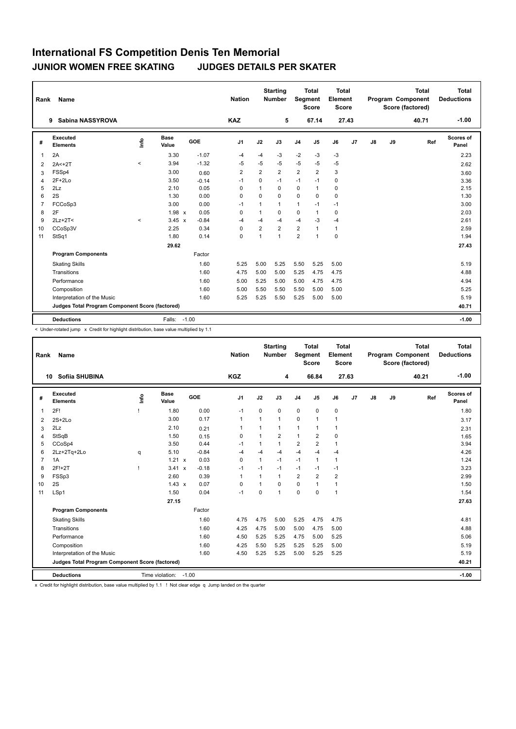| Rank           | Name                                            |          |                      |         | <b>Nation</b>  |                | <b>Starting</b><br><b>Number</b> |                | <b>Total</b><br>Segment<br><b>Score</b> | Total<br><b>Element</b><br>Score |                |               |    | <b>Total</b><br><b>Program Component</b><br>Score (factored) | Total<br><b>Deductions</b> |
|----------------|-------------------------------------------------|----------|----------------------|---------|----------------|----------------|----------------------------------|----------------|-----------------------------------------|----------------------------------|----------------|---------------|----|--------------------------------------------------------------|----------------------------|
|                | Sabina NASSYROVA<br>9                           |          |                      |         | <b>KAZ</b>     |                | 5                                |                | 67.14                                   |                                  | 27.43          |               |    | 40.71                                                        | $-1.00$                    |
| #              | <b>Executed</b><br><b>Elements</b>              | ١nfo     | <b>Base</b><br>Value | GOE     | J <sub>1</sub> | J2             | J3                               | J <sub>4</sub> | J <sub>5</sub>                          | J6                               | J <sub>7</sub> | $\mathsf{J}8$ | J9 | Ref                                                          | Scores of<br>Panel         |
| 1              | 2A                                              |          | 3.30                 | $-1.07$ | $-4$           | -4             | $-3$                             | $-2$           | $-3$                                    | $-3$                             |                |               |    |                                                              | 2.23                       |
| 2              | $2A < +2T$                                      | $\,<$    | 3.94                 | $-1.32$ | $-5$           | $-5$           | $-5$                             | $-5$           | $-5$                                    | $-5$                             |                |               |    |                                                              | 2.62                       |
| 3              | FSSp4                                           |          | 3.00                 | 0.60    | $\overline{2}$ | $\overline{2}$ | $\overline{2}$                   | $\overline{2}$ | $\overline{2}$                          | 3                                |                |               |    |                                                              | 3.60                       |
| 4              | $2F+2Lo$                                        |          | 3.50                 | $-0.14$ | $-1$           | $\mathbf 0$    | $-1$                             | $-1$           | $-1$                                    | $\mathbf 0$                      |                |               |    |                                                              | 3.36                       |
| 5              | 2Lz                                             |          | 2.10                 | 0.05    | $\Omega$       | 1              | $\Omega$                         | 0              | $\mathbf{1}$                            | 0                                |                |               |    |                                                              | 2.15                       |
| 6              | 2S                                              |          | 1.30                 | 0.00    | $\Omega$       | $\Omega$       | $\Omega$                         | $\Omega$       | $\Omega$                                | 0                                |                |               |    |                                                              | 1.30                       |
| $\overline{7}$ | FCCoSp3                                         |          | 3.00                 | 0.00    | $-1$           | $\mathbf{1}$   | $\mathbf{1}$                     | $\mathbf{1}$   | $-1$                                    | $-1$                             |                |               |    |                                                              | 3.00                       |
| 8              | 2F                                              |          | $1.98 \times$        | 0.05    | $\Omega$       | $\mathbf{1}$   | $\Omega$                         | 0              | $\mathbf{1}$                            | 0                                |                |               |    |                                                              | 2.03                       |
| 9              | $2Lz+2T<$                                       | $\hat{}$ | $3.45 \times$        | $-0.84$ | $-4$           | $-4$           | -4                               | $-4$           | $-3$                                    | $-4$                             |                |               |    |                                                              | 2.61                       |
| 10             | CCoSp3V                                         |          | 2.25                 | 0.34    | $\mathbf 0$    | $\overline{2}$ | $\overline{2}$                   | $\overline{2}$ | $\overline{1}$                          | 1                                |                |               |    |                                                              | 2.59                       |
| 11             | StSq1                                           |          | 1.80                 | 0.14    | $\mathbf 0$    | $\mathbf{1}$   | $\mathbf{1}$                     | $\overline{2}$ | $\overline{1}$                          | $\mathbf 0$                      |                |               |    |                                                              | 1.94                       |
|                |                                                 |          | 29.62                |         |                |                |                                  |                |                                         |                                  |                |               |    |                                                              | 27.43                      |
|                | <b>Program Components</b>                       |          |                      | Factor  |                |                |                                  |                |                                         |                                  |                |               |    |                                                              |                            |
|                | <b>Skating Skills</b>                           |          |                      | 1.60    | 5.25           | 5.00           | 5.25                             | 5.50           | 5.25                                    | 5.00                             |                |               |    |                                                              | 5.19                       |
|                | Transitions                                     |          |                      | 1.60    | 4.75           | 5.00           | 5.00                             | 5.25           | 4.75                                    | 4.75                             |                |               |    |                                                              | 4.88                       |
|                | Performance                                     |          |                      | 1.60    | 5.00           | 5.25           | 5.00                             | 5.00           | 4.75                                    | 4.75                             |                |               |    |                                                              | 4.94                       |
|                | Composition                                     |          |                      | 1.60    | 5.00           | 5.50           | 5.50                             | 5.50           | 5.00                                    | 5.00                             |                |               |    |                                                              | 5.25                       |
|                | Interpretation of the Music                     |          |                      | 1.60    | 5.25           | 5.25           | 5.50                             | 5.25           | 5.00                                    | 5.00                             |                |               |    |                                                              | 5.19                       |
|                | Judges Total Program Component Score (factored) |          |                      |         |                |                |                                  |                |                                         |                                  |                |               |    |                                                              | 40.71                      |
|                | <b>Deductions</b>                               |          | Falls: -1.00         |         |                |                |                                  |                |                                         |                                  |                |               |    |                                                              | $-1.00$                    |

< Under-rotated jump x Credit for highlight distribution, base value multiplied by 1.1

| Rank           | Name                                            |              |                      |            | <b>Nation</b>  |              | <b>Starting</b><br>Number | Segment        | <b>Total</b><br><b>Score</b> | <b>Total</b><br>Element<br><b>Score</b> |       |    |    | <b>Total</b><br>Program Component<br>Score (factored) | <b>Total</b><br><b>Deductions</b> |
|----------------|-------------------------------------------------|--------------|----------------------|------------|----------------|--------------|---------------------------|----------------|------------------------------|-----------------------------------------|-------|----|----|-------------------------------------------------------|-----------------------------------|
|                | Sofiia SHUBINA<br>10                            |              |                      |            | <b>KGZ</b>     |              | 4                         |                | 66.84                        |                                         | 27.63 |    |    | 40.21                                                 | $-1.00$                           |
| #              | Executed<br><b>Elements</b>                     | lnfo         | <b>Base</b><br>Value | <b>GOE</b> | J <sub>1</sub> | J2           | J3                        | J <sub>4</sub> | J5                           | J6                                      | J7    | J8 | J9 | Ref                                                   | Scores of<br>Panel                |
| 1              | 2F!                                             |              | 1.80                 | 0.00       | $-1$           | $\mathbf 0$  | 0                         | $\mathbf 0$    | $\mathbf 0$                  | 0                                       |       |    |    |                                                       | 1.80                              |
| 2              | $2S+2Lo$                                        |              | 3.00                 | 0.17       | $\mathbf{1}$   | 1            | 1                         | $\mathbf 0$    | $\mathbf{1}$                 | $\mathbf{1}$                            |       |    |    |                                                       | 3.17                              |
| 3              | 2Lz                                             |              | 2.10                 | 0.21       | $\mathbf 1$    | 1            | 1                         | $\mathbf{1}$   | 1                            | 1                                       |       |    |    |                                                       | 2.31                              |
| 4              | StSqB                                           |              | 1.50                 | 0.15       | 0              | 1            | $\overline{2}$            | $\mathbf{1}$   | $\overline{2}$               | 0                                       |       |    |    |                                                       | 1.65                              |
| 5              | CCoSp4                                          |              | 3.50                 | 0.44       | $-1$           | $\mathbf{1}$ | 1                         | 2              | $\overline{2}$               | $\mathbf{1}$                            |       |    |    |                                                       | 3.94                              |
| 6              | 2Lz+2Tq+2Lo                                     | q            | 5.10                 | $-0.84$    | $-4$           | $-4$         | $-4$                      | $-4$           | $-4$                         | $-4$                                    |       |    |    |                                                       | 4.26                              |
| $\overline{7}$ | 1A                                              |              | 1.21 x               | 0.03       | $\mathbf 0$    | 1            | $-1$                      | $-1$           | 1                            | 1                                       |       |    |    |                                                       | 1.24                              |
| 8              | 2F!+2T                                          | $\mathbf{I}$ | 3.41 x               | $-0.18$    | $-1$           | $-1$         | $-1$                      | $-1$           | $-1$                         | $-1$                                    |       |    |    |                                                       | 3.23                              |
| 9              | FSSp3                                           |              | 2.60                 | 0.39       | $\overline{1}$ | 1            | 1                         | 2              | $\overline{2}$               | $\overline{2}$                          |       |    |    |                                                       | 2.99                              |
| 10             | 2S                                              |              | $1.43 \times$        | 0.07       | 0              | 1            | $\Omega$                  | $\mathbf 0$    | $\mathbf{1}$                 | $\mathbf{1}$                            |       |    |    |                                                       | 1.50                              |
| 11             | LSp1                                            |              | 1.50                 | 0.04       | $-1$           | $\Omega$     | 1                         | $\mathbf 0$    | $\Omega$                     | $\mathbf{1}$                            |       |    |    |                                                       | 1.54                              |
|                |                                                 |              | 27.15                |            |                |              |                           |                |                              |                                         |       |    |    |                                                       | 27.63                             |
|                | <b>Program Components</b>                       |              |                      | Factor     |                |              |                           |                |                              |                                         |       |    |    |                                                       |                                   |
|                | <b>Skating Skills</b>                           |              |                      | 1.60       | 4.75           | 4.75         | 5.00                      | 5.25           | 4.75                         | 4.75                                    |       |    |    |                                                       | 4.81                              |
|                | Transitions                                     |              |                      | 1.60       | 4.25           | 4.75         | 5.00                      | 5.00           | 4.75                         | 5.00                                    |       |    |    |                                                       | 4.88                              |
|                | Performance                                     |              |                      | 1.60       | 4.50           | 5.25         | 5.25                      | 4.75           | 5.00                         | 5.25                                    |       |    |    |                                                       | 5.06                              |
|                | Composition                                     |              |                      | 1.60       | 4.25           | 5.50         | 5.25                      | 5.25           | 5.25                         | 5.00                                    |       |    |    |                                                       | 5.19                              |
|                | Interpretation of the Music                     |              |                      | 1.60       | 4.50           | 5.25         | 5.25                      | 5.00           | 5.25                         | 5.25                                    |       |    |    |                                                       | 5.19                              |
|                | Judges Total Program Component Score (factored) |              |                      |            |                |              |                           |                |                              |                                         |       |    |    |                                                       | 40.21                             |
|                | <b>Deductions</b>                               |              | Time violation:      | $-1.00$    |                |              |                           |                |                              |                                         |       |    |    |                                                       | $-1.00$                           |

x Credit for highlight distribution, base value multiplied by 1.1 ! Not clear edge q Jump landed on the quarter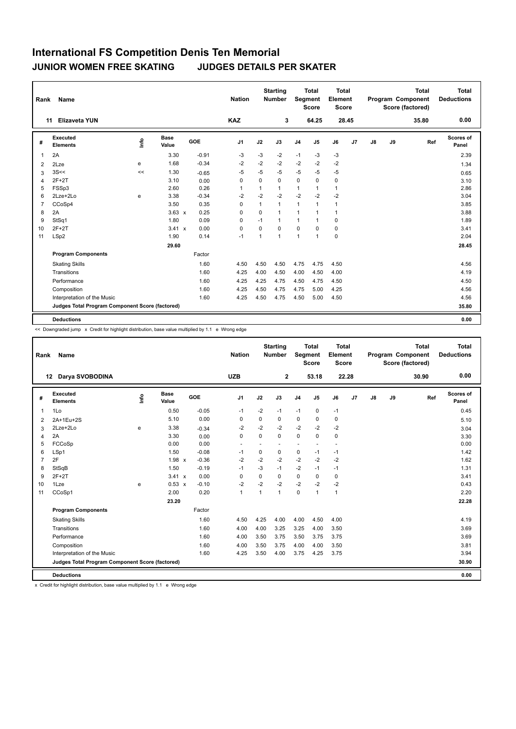| Rank           | Name                                            |      |                      |         | <b>Nation</b>  |              | <b>Starting</b><br><b>Number</b> |                | <b>Total</b><br>Segment<br><b>Score</b> | Total<br>Element<br>Score |                |               |    | <b>Total</b><br><b>Program Component</b><br>Score (factored) | Total<br><b>Deductions</b> |
|----------------|-------------------------------------------------|------|----------------------|---------|----------------|--------------|----------------------------------|----------------|-----------------------------------------|---------------------------|----------------|---------------|----|--------------------------------------------------------------|----------------------------|
|                | <b>Elizaveta YUN</b><br>11                      |      |                      |         | <b>KAZ</b>     |              | 3                                |                | 64.25                                   |                           | 28.45          |               |    | 35.80                                                        | 0.00                       |
| #              | <b>Executed</b><br><b>Elements</b>              | ١nfo | <b>Base</b><br>Value | GOE     | J <sub>1</sub> | J2           | J3                               | J <sub>4</sub> | J <sub>5</sub>                          | J6                        | J <sub>7</sub> | $\mathsf{J}8$ | J9 | Ref                                                          | Scores of<br>Panel         |
| 1              | 2A                                              |      | 3.30                 | $-0.91$ | $-3$           | $-3$         | $-2$                             | $-1$           | $-3$                                    | $-3$                      |                |               |    |                                                              | 2.39                       |
| $\overline{2}$ | 2Lze                                            | e    | 1.68                 | $-0.34$ | $-2$           | $-2$         | $-2$                             | $-2$           | $-2$                                    | $-2$                      |                |               |    |                                                              | 1.34                       |
| 3              | 3S<<                                            | <<   | 1.30                 | $-0.65$ | $-5$           | $-5$         | $-5$                             | $-5$           | $-5$                                    | $-5$                      |                |               |    |                                                              | 0.65                       |
| $\overline{4}$ | $2F+2T$                                         |      | 3.10                 | 0.00    | $\mathbf 0$    | 0            | $\mathbf 0$                      | $\mathbf 0$    | $\mathbf 0$                             | $\mathbf 0$               |                |               |    |                                                              | 3.10                       |
| 5              | FSSp3                                           |      | 2.60                 | 0.26    | 1              | 1            | $\mathbf{1}$                     | 1              | 1                                       | $\mathbf{1}$              |                |               |    |                                                              | 2.86                       |
| 6              | 2Lze+2Lo                                        | e    | 3.38                 | $-0.34$ | $-2$           | $-2$         | $-2$                             | $-2$           | $-2$                                    | $-2$                      |                |               |    |                                                              | 3.04                       |
| $\overline{7}$ | CCoSp4                                          |      | 3.50                 | 0.35    | 0              | $\mathbf{1}$ | $\mathbf{1}$                     | $\mathbf{1}$   | $\mathbf{1}$                            | $\mathbf{1}$              |                |               |    |                                                              | 3.85                       |
| 8              | 2A                                              |      | $3.63 \times$        | 0.25    | 0              | 0            | $\mathbf{1}$                     | $\mathbf{1}$   | 1                                       | $\mathbf{1}$              |                |               |    |                                                              | 3.88                       |
| 9              | StSq1                                           |      | 1.80                 | 0.09    | 0              | $-1$         | $\mathbf{1}$                     | 1              | 1                                       | $\mathbf 0$               |                |               |    |                                                              | 1.89                       |
| 10             | $2F+2T$                                         |      | $3.41 \times$        | 0.00    | $\mathbf 0$    | 0            | $\mathbf 0$                      | $\mathbf 0$    | $\mathbf 0$                             | $\mathbf 0$               |                |               |    |                                                              | 3.41                       |
| 11             | LSp2                                            |      | 1.90                 | 0.14    | $-1$           | 1            | $\mathbf{1}$                     | $\mathbf{1}$   | $\overline{1}$                          | $\mathbf 0$               |                |               |    |                                                              | 2.04                       |
|                |                                                 |      | 29.60                |         |                |              |                                  |                |                                         |                           |                |               |    |                                                              | 28.45                      |
|                | <b>Program Components</b>                       |      |                      | Factor  |                |              |                                  |                |                                         |                           |                |               |    |                                                              |                            |
|                | <b>Skating Skills</b>                           |      |                      | 1.60    | 4.50           | 4.50         | 4.50                             | 4.75           | 4.75                                    | 4.50                      |                |               |    |                                                              | 4.56                       |
|                | Transitions                                     |      |                      | 1.60    | 4.25           | 4.00         | 4.50                             | 4.00           | 4.50                                    | 4.00                      |                |               |    |                                                              | 4.19                       |
|                | Performance                                     |      |                      | 1.60    | 4.25           | 4.25         | 4.75                             | 4.50           | 4.75                                    | 4.50                      |                |               |    |                                                              | 4.50                       |
|                | Composition                                     |      |                      | 1.60    | 4.25           | 4.50         | 4.75                             | 4.75           | 5.00                                    | 4.25                      |                |               |    |                                                              | 4.56                       |
|                | Interpretation of the Music                     |      |                      | 1.60    | 4.25           | 4.50         | 4.75                             | 4.50           | 5.00                                    | 4.50                      |                |               |    |                                                              | 4.56                       |
|                | Judges Total Program Component Score (factored) |      |                      |         |                |              |                                  |                |                                         |                           |                |               |    |                                                              | 35.80                      |
|                | <b>Deductions</b>                               |      |                      |         |                |              |                                  |                |                                         |                           |                |               |    |                                                              | 0.00                       |

<< Downgraded jump x Credit for highlight distribution, base value multiplied by 1.1 e Wrong edge

| Rank           | Name                                            |      |                      |         | <b>Nation</b>  |             | <b>Starting</b><br><b>Number</b> | Segment        | <b>Total</b><br><b>Score</b> | Total<br>Element<br><b>Score</b> |       |               |    | <b>Total</b><br>Program Component<br>Score (factored) | <b>Total</b><br><b>Deductions</b> |
|----------------|-------------------------------------------------|------|----------------------|---------|----------------|-------------|----------------------------------|----------------|------------------------------|----------------------------------|-------|---------------|----|-------------------------------------------------------|-----------------------------------|
|                | Darya SVOBODINA<br>12                           |      |                      |         | <b>UZB</b>     |             | $\mathbf{2}$                     |                | 53.18                        |                                  | 22.28 |               |    | 30.90                                                 | 0.00                              |
| #              | Executed<br><b>Elements</b>                     | Info | <b>Base</b><br>Value | GOE     | J <sub>1</sub> | J2          | J3                               | J <sub>4</sub> | J5                           | J6                               | J7    | $\mathsf{J}8$ | J9 | Ref                                                   | Scores of<br>Panel                |
| $\overline{1}$ | 1Lo                                             |      | 0.50                 | $-0.05$ | $-1$           | $-2$        | $-1$                             | $-1$           | 0                            | $-1$                             |       |               |    |                                                       | 0.45                              |
| 2              | 2A+1Eu+2S                                       |      | 5.10                 | 0.00    | $\Omega$       | $\Omega$    | 0                                | 0              | 0                            | 0                                |       |               |    |                                                       | 5.10                              |
| 3              | 2Lze+2Lo                                        | e    | 3.38                 | $-0.34$ | $-2$           | $-2$        | $-2$                             | $-2$           | $-2$                         | $-2$                             |       |               |    |                                                       | 3.04                              |
| $\overline{4}$ | 2A                                              |      | 3.30                 | 0.00    | $\Omega$       | $\Omega$    | $\Omega$                         | $\mathbf 0$    | $\Omega$                     | $\mathbf 0$                      |       |               |    |                                                       | 3.30                              |
| 5              | FCCoSp                                          |      | 0.00                 | 0.00    |                |             |                                  |                |                              | $\overline{\phantom{a}}$         |       |               |    |                                                       | 0.00                              |
| 6              | LSp1                                            |      | 1.50                 | $-0.08$ | $-1$           | 0           | 0                                | $\mathbf 0$    | $-1$                         | $-1$                             |       |               |    |                                                       | 1.42                              |
| $\overline{7}$ | 2F                                              |      | $1.98 \times$        | $-0.36$ | $-2$           | $-2$        | $-2$                             | $-2$           | $-2$                         | $-2$                             |       |               |    |                                                       | 1.62                              |
| 8              | StSqB                                           |      | 1.50                 | $-0.19$ | $-1$           | $-3$        | $-1$                             | $-2$           | $-1$                         | $-1$                             |       |               |    |                                                       | 1.31                              |
| 9              | $2F+2T$                                         |      | 3.41 x               | 0.00    | $\mathbf 0$    | $\mathbf 0$ | 0                                | $\mathbf 0$    | 0                            | $\mathbf 0$                      |       |               |    |                                                       | 3.41                              |
| 10             | 1Lze                                            | e    | $0.53 \times$        | $-0.10$ | $-2$           | $-2$        | $-2$                             | $-2$           | $-2$                         | $-2$                             |       |               |    |                                                       | 0.43                              |
| 11             | CCoSp1                                          |      | 2.00                 | 0.20    | $\mathbf{1}$   | 1           | 1                                | 0              | 1                            | $\overline{1}$                   |       |               |    |                                                       | 2.20                              |
|                |                                                 |      | 23.20                |         |                |             |                                  |                |                              |                                  |       |               |    |                                                       | 22.28                             |
|                | <b>Program Components</b>                       |      |                      | Factor  |                |             |                                  |                |                              |                                  |       |               |    |                                                       |                                   |
|                | <b>Skating Skills</b>                           |      |                      | 1.60    | 4.50           | 4.25        | 4.00                             | 4.00           | 4.50                         | 4.00                             |       |               |    |                                                       | 4.19                              |
|                | Transitions                                     |      |                      | 1.60    | 4.00           | 4.00        | 3.25                             | 3.25           | 4.00                         | 3.50                             |       |               |    |                                                       | 3.69                              |
|                | Performance                                     |      |                      | 1.60    | 4.00           | 3.50        | 3.75                             | 3.50           | 3.75                         | 3.75                             |       |               |    |                                                       | 3.69                              |
|                | Composition                                     |      |                      | 1.60    | 4.00           | 3.50        | 3.75                             | 4.00           | 4.00                         | 3.50                             |       |               |    |                                                       | 3.81                              |
|                | Interpretation of the Music                     |      |                      | 1.60    | 4.25           | 3.50        | 4.00                             | 3.75           | 4.25                         | 3.75                             |       |               |    |                                                       | 3.94                              |
|                | Judges Total Program Component Score (factored) |      |                      |         |                |             |                                  |                |                              |                                  |       |               |    |                                                       | 30.90                             |
|                | <b>Deductions</b>                               |      |                      |         |                |             |                                  |                |                              |                                  |       |               |    |                                                       | 0.00                              |

x Credit for highlight distribution, base value multiplied by 1.1 e Wrong edge